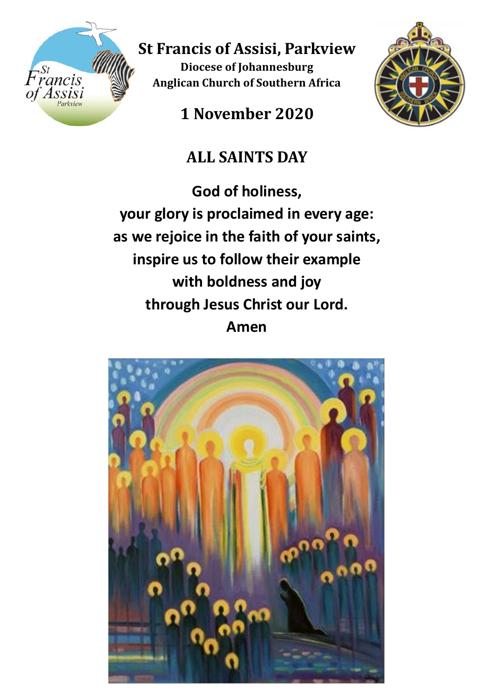

**St Francis of Assisi, Parkview**

**Diocese of Johannesburg Anglican Church of Southern Africa**

**1 November 2020**



# **ALL SAINTS DAY**

**God of holiness, your glory is proclaimed in every age: as we rejoice in the faith of your saints, inspire us to follow their example with boldness and joy through Jesus Christ our Lord. Amen**

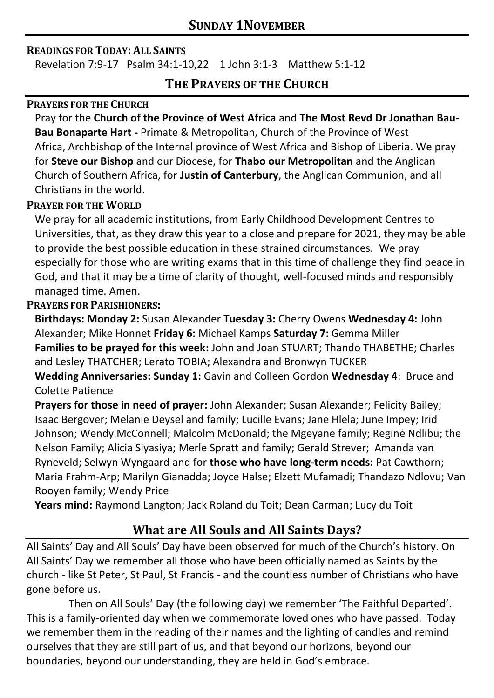#### **READINGS FOR TODAY: ALL SAINTS**

Revelation 7:9-17 Psalm 34:1-10,22 1 John 3:1-3 Matthew 5:1-12

# **THE PRAYERS OF THE CHURCH**

#### **PRAYERS FOR THE CHURCH**

Pray for the **Church of the Province of West Africa** and **The Most Revd Dr Jonathan Bau-Bau Bonaparte Hart -** Primate & Metropolitan, Church of the Province of West Africa, Archbishop of the Internal province of West Africa and Bishop of Liberia. We pray for **Steve our Bishop** and our Diocese, for **Thabo our Metropolitan** and the Anglican Church of Southern Africa, for **Justin of Canterbury**, the Anglican Communion, and all Christians in the world.

## **PRAYER FOR THE WORLD**

We pray for all academic institutions, from Early Childhood Development Centres to Universities, that, as they draw this year to a close and prepare for 2021, they may be able to provide the best possible education in these strained circumstances. We pray especially for those who are writing exams that in this time of challenge they find peace in God, and that it may be a time of clarity of thought, well-focused minds and responsibly managed time. Amen.

## **PRAYERS FOR PARISHIONERS:**

**Birthdays: Monday 2:** Susan Alexander **Tuesday 3:** Cherry Owens **Wednesday 4:** John Alexander; Mike Honnet **Friday 6:** Michael Kamps **Saturday 7:** Gemma Miller **Families to be prayed for this week:** John and Joan STUART; Thando THABETHE; Charles and Lesley THATCHER; Lerato TOBIA; Alexandra and Bronwyn TUCKER **Wedding Anniversaries: Sunday 1:** Gavin and Colleen Gordon **Wednesday 4**: Bruce and

Colette Patience

**Prayers for those in need of prayer:** John Alexander; Susan Alexander; Felicity Bailey; Isaac Bergover; Melanie Deysel and family; Lucille Evans; Jane Hlela; June Impey; Irid Johnson; Wendy McConnell; Malcolm McDonald; the Mgeyane family; Reginė Ndlibu; the Nelson Family; Alicia Siyasiya; Merle Spratt and family; Gerald Strever; Amanda van Ryneveld; Selwyn Wyngaard and for **those who have long-term needs:** Pat Cawthorn; Maria Frahm-Arp; Marilyn Gianadda; Joyce Halse; Elzett Mufamadi; Thandazo Ndlovu; Van Rooyen family; Wendy Price

**Years mind:** Raymond Langton; Jack Roland du Toit; Dean Carman; Lucy du Toit

# **What are All Souls and All Saints Days?**

All Saints' Day and All Souls' Day have been observed for much of the Church's history. On All Saints' Day we remember all those who have been officially named as Saints by the church - like St Peter, St Paul, St Francis - and the countless number of Christians who have gone before us.

Then on All Souls' Day (the following day) we remember 'The Faithful Departed'. This is a family-oriented day when we commemorate loved ones who have passed. Today we remember them in the reading of their names and the lighting of candles and remind ourselves that they are still part of us, and that beyond our horizons, beyond our boundaries, beyond our understanding, they are held in God's embrace.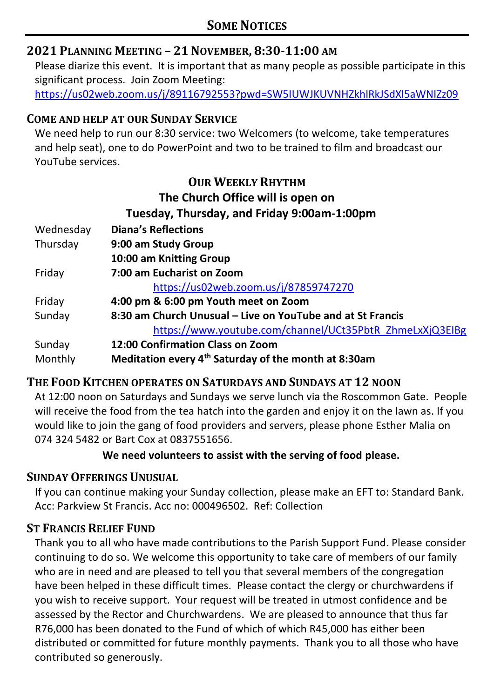# **2021 PLANNING MEETING – 21 NOVEMBER, 8:30-11:00 AM**

Please diarize this event. It is important that as many people as possible participate in this significant process. Join Zoom Meeting:

<https://us02web.zoom.us/j/89116792553?pwd=SW5IUWJKUVNHZkhlRkJSdXl5aWNlZz09>

## **COME AND HELP AT OUR SUNDAY SERVICE**

We need help to run our 8:30 service: two Welcomers (to welcome, take temperatures and help seat), one to do PowerPoint and two to be trained to film and broadcast our YouTube services.

# **OUR WEEKLY RHYTHM The Church Office will is open on Tuesday, Thursday, and Friday 9:00am-1:00pm**

| Wednesday | <b>Diana's Reflections</b>                                       |
|-----------|------------------------------------------------------------------|
| Thursday  | 9:00 am Study Group                                              |
|           | 10:00 am Knitting Group                                          |
| Friday    | 7:00 am Eucharist on Zoom                                        |
|           | https://us02web.zoom.us/j/87859747270                            |
| Friday    | 4:00 pm & 6:00 pm Youth meet on Zoom                             |
| Sunday    | 8:30 am Church Unusual – Live on YouTube and at St Francis       |
|           | https://www.youtube.com/channel/UCt35PbtR_ZhmeLxXjQ3EIBg         |
| Sunday    | 12:00 Confirmation Class on Zoom                                 |
| Monthly   | Meditation every 4 <sup>th</sup> Saturday of the month at 8:30am |

# **THE FOOD KITCHEN OPERATES ON SATURDAYS AND SUNDAYS AT 12 NOON**

At 12:00 noon on Saturdays and Sundays we serve lunch via the Roscommon Gate. People will receive the food from the tea hatch into the garden and enjoy it on the lawn as. If you would like to join the gang of food providers and servers, please phone Esther Malia on 074 324 5482 or Bart Cox at 0837551656.

## **We need volunteers to assist with the serving of food please.**

## **SUNDAY OFFERINGS UNUSUAL**

If you can continue making your Sunday collection, please make an EFT to: Standard Bank. Acc: Parkview St Francis. Acc no: 000496502. Ref: Collection

## **ST FRANCIS RELIEF FUND**

Thank you to all who have made contributions to the Parish Support Fund. Please consider continuing to do so. We welcome this opportunity to take care of members of our family who are in need and are pleased to tell you that several members of the congregation have been helped in these difficult times. Please contact the clergy or churchwardens if you wish to receive support. Your request will be treated in utmost confidence and be assessed by the Rector and Churchwardens. We are pleased to announce that thus far R76,000 has been donated to the Fund of which of which R45,000 has either been distributed or committed for future monthly payments. Thank you to all those who have contributed so generously.